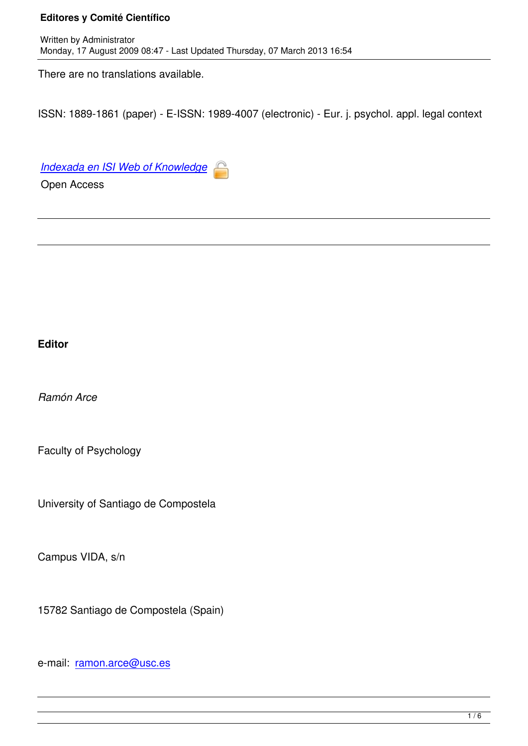There are no translations available.

ISSN: 1889-1861 (paper) - E-ISSN: 1989-4007 (electronic) - Eur. j. psychol. appl. legal context

*Indexada en ISI Web of Knowledge*

Open Access

## **Editor**

*Ramón Arce*

Faculty of Psychology

University of Santiago de Compostela

Campus VIDA, s/n

15782 Santiago de Compostela (Spain)

e-mail: ramon.arce@usc.es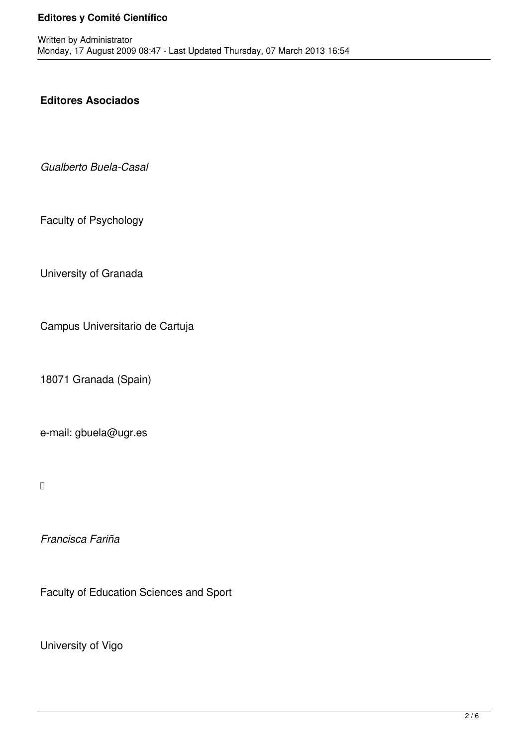## **Editores Asociados**

*Gualberto Buela-Casal*

Faculty of Psychology

University of Granada

Campus Universitario de Cartuja

18071 Granada (Spain)

e-mail: gbuela@ugr.es

*Francisca Fariña*

Faculty of Education Sciences and Sport

University of Vigo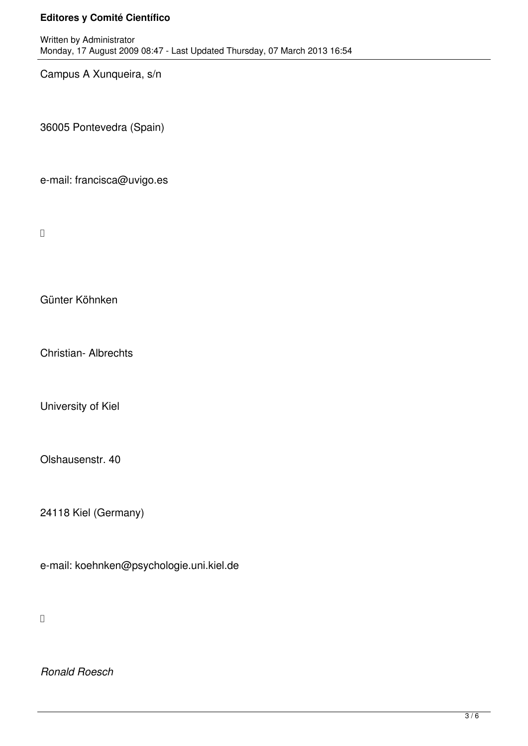Campus A Xunqueira, s/n

36005 Pontevedra (Spain)

e-mail: francisca@uvigo.es

 $\Box$ 

Günter Köhnken

Christian- Albrechts

University of Kiel

Olshausenstr. 40

24118 Kiel (Germany)

e-mail: koehnken@psychologie.uni.kiel.de

 $\overline{a}$ 

*Ronald Roesch*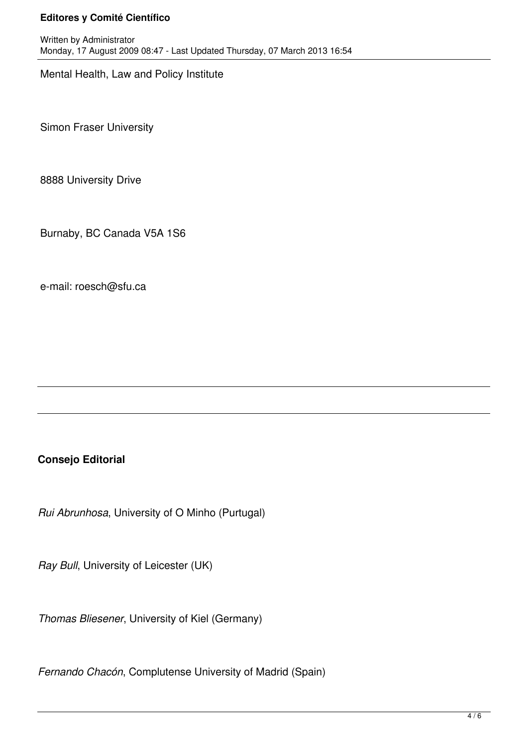Mental Health, Law and Policy Institute

Simon Fraser University

8888 University Drive

Burnaby, BC Canada V5A 1S6

e-mail: roesch@sfu.ca

# **Consejo Editorial**

*Rui Abrunhosa*, University of O Minho (Purtugal)

*Ray Bull*, University of Leicester (UK)

*Thomas Bliesener*, University of Kiel (Germany)

*Fernando Chacón*, Complutense University of Madrid (Spain)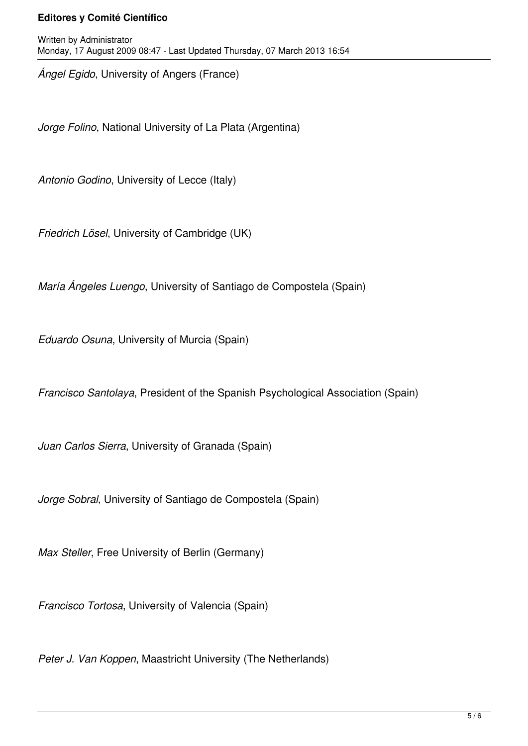*Ángel Egido*, University of Angers (France)

*Jorge Folino*, National University of La Plata (Argentina)

*Antonio Godino*, University of Lecce (Italy)

*Friedrich Lösel*, University of Cambridge (UK)

*María Ángeles Luengo*, University of Santiago de Compostela (Spain)

*Eduardo Osuna*, University of Murcia (Spain)

*Francisco Santolaya*, President of the Spanish Psychological Association (Spain)

*Juan Carlos Sierra*, University of Granada (Spain)

*Jorge Sobral*, University of Santiago de Compostela (Spain)

*Max Steller*, Free University of Berlin (Germany)

*Francisco Tortosa*, University of Valencia (Spain)

*Peter J. Van Koppen*, Maastricht University (The Netherlands)